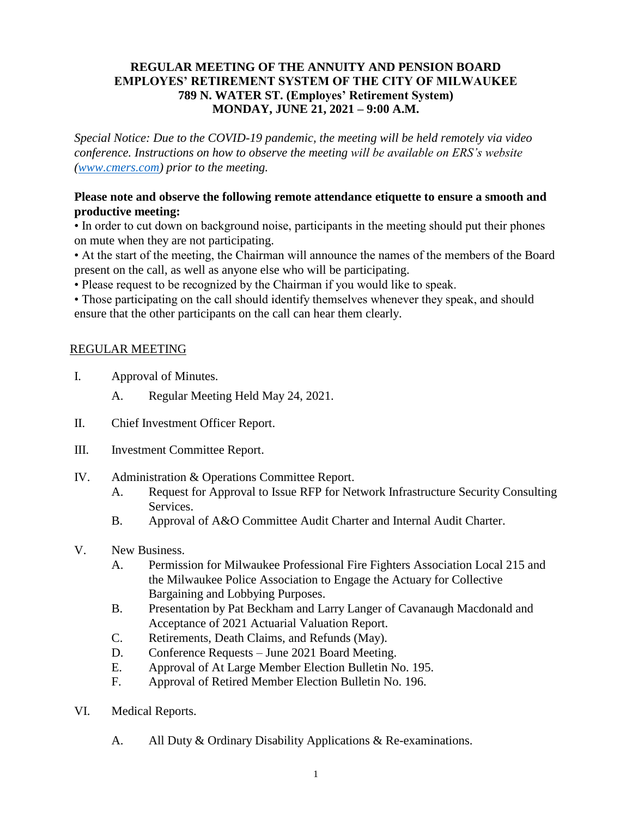### **REGULAR MEETING OF THE ANNUITY AND PENSION BOARD EMPLOYES' RETIREMENT SYSTEM OF THE CITY OF MILWAUKEE 789 N. WATER ST. (Employes' Retirement System) MONDAY, JUNE 21, 2021 – 9:00 A.M.**

*Special Notice: Due to the COVID-19 pandemic, the meeting will be held remotely via video conference. Instructions on how to observe the meeting will be available on ERS's website [\(www.cmers.com\)](http://www.cmers.com/) prior to the meeting.*

### **Please note and observe the following remote attendance etiquette to ensure a smooth and productive meeting:**

• In order to cut down on background noise, participants in the meeting should put their phones on mute when they are not participating.

• At the start of the meeting, the Chairman will announce the names of the members of the Board present on the call, as well as anyone else who will be participating.

• Please request to be recognized by the Chairman if you would like to speak.

• Those participating on the call should identify themselves whenever they speak, and should ensure that the other participants on the call can hear them clearly.

# REGULAR MEETING

- I. Approval of Minutes.
	- A. Regular Meeting Held May 24, 2021.
- II. Chief Investment Officer Report.
- III. Investment Committee Report.
- IV. Administration & Operations Committee Report.
	- A. Request for Approval to Issue RFP for Network Infrastructure Security Consulting Services.
	- B. Approval of A&O Committee Audit Charter and Internal Audit Charter.
- V. New Business.
	- A. Permission for Milwaukee Professional Fire Fighters Association Local 215 and the Milwaukee Police Association to Engage the Actuary for Collective Bargaining and Lobbying Purposes.
	- B. Presentation by Pat Beckham and Larry Langer of Cavanaugh Macdonald and Acceptance of 2021 Actuarial Valuation Report.
	- C. Retirements, Death Claims, and Refunds (May).
	- D. Conference Requests June 2021 Board Meeting.
	- E. Approval of At Large Member Election Bulletin No. 195.
	- F. Approval of Retired Member Election Bulletin No. 196.
- VI. Medical Reports.
	- A. All Duty & Ordinary Disability Applications & Re-examinations.